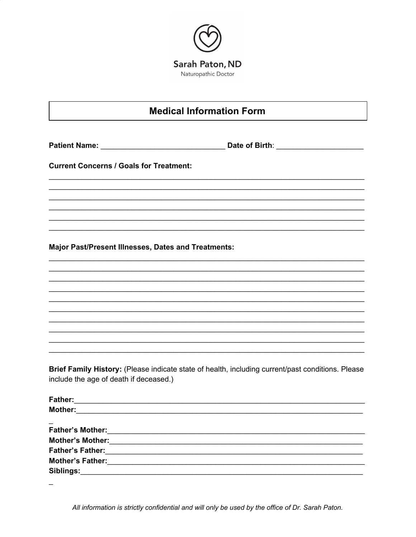

## **Medical Information Form**

Patient Name: Date of Birth:

**Current Concerns / Goals for Treatment:** 

Major Past/Present Illnesses, Dates and Treatments:

Brief Family History: (Please indicate state of health, including current/past conditions. Please include the age of death if deceased.)

| <b>Father:</b>          |  |
|-------------------------|--|
| <b>Mother:</b>          |  |
|                         |  |
|                         |  |
| <b>Mother's Mother:</b> |  |
|                         |  |
| <b>Mother's Father:</b> |  |
| Siblings:               |  |

All information is strictly confidential and will only be used by the office of Dr. Sarah Paton.